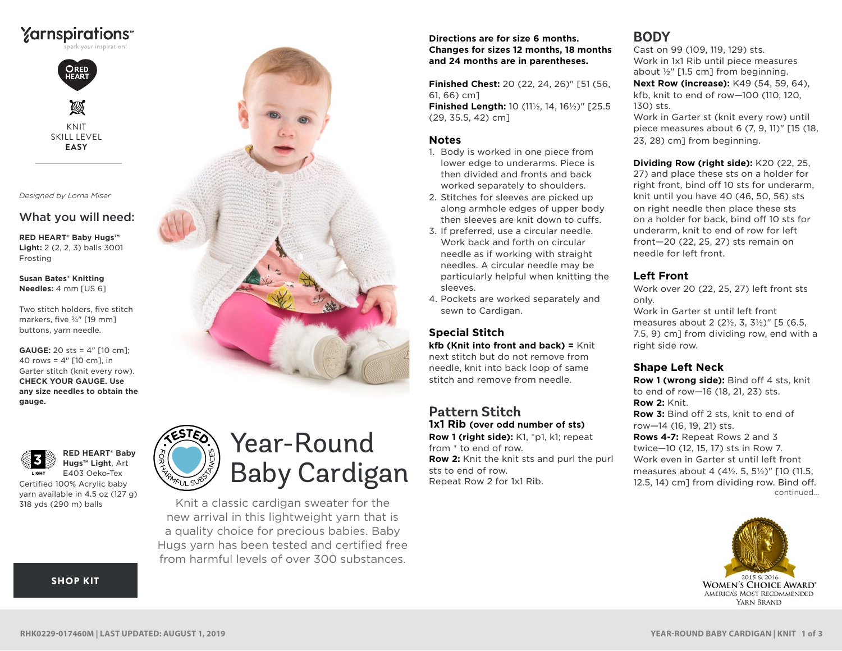## ∑arnspirations



*Designed by Lorna Miser*

#### What you will need:

**RED HEART® Baby Hugs™ Light:** 2 (2, 2, 3) balls 3001 Frosting

**Susan Bates® Knitting Needles:** 4 mm [US 6]

Two stitch holders, five stitch markers, five ¾" [19 mm] buttons, yarn needle.

**GAUGE:** 20 sts = 4" [10 cm]; 40 rows = 4" [10 cm], in Garter stitch (knit every row). **CHECK YOUR GAUGE. Use any size needles to obtain the gauge.** 





**Hugs™ Light**, Art E403 Oeko-Tex Certified 100% Acrylic baby

**RED HEART® Baby** 

yarn available in 4.5 oz (127 g) 318 yds (290 m) balls

#### [SHOP KIT](https://www.yarnspirations.com/red-heart-year-round-baby-cardigan/RHK0229-017460M.html#utm_source=pdf-yarnspirations&utm_medium=referral&utm_campaign=pdf-RHK0229-017460M)

# Year-Round Baby Cardigan

Knit a classic cardigan sweater for the new arrival in this lightweight yarn that is a quality choice for precious babies. Baby Hugs yarn has been tested and certified free from harmful levels of over 300 substances.

#### **Directions are for size 6 months. Changes for sizes 12 months, 18 months and 24 months are in parentheses.**

**Finished Chest:** 20 (22, 24, 26)" [51 (56, 61, 66) cm]

**Finished Length:** 10 (11½, 14, 16½)" [25.5 (29, 35.5, 42) cm]

#### **Notes**

- 1. Body is worked in one piece from lower edge to underarms. Piece is then divided and fronts and back worked separately to shoulders.
- 2. Stitches for sleeves are picked up along armhole edges of upper body then sleeves are knit down to cuffs.
- 3. If preferred, use a circular needle. Work back and forth on circular needle as if working with straight needles. A circular needle may be particularly helpful when knitting the sleeves.
- 4. Pockets are worked separately and sewn to Cardigan.

#### **Special Stitch**

**kfb (Knit into front and back) =** Knit next stitch but do not remove from needle, knit into back loop of same stitch and remove from needle.

#### **Pattern Stitch 1x1 Rib (over odd number of sts)**

**Row 1 (right side):** K1, \*p1, k1; repeat from \* to end of row. **Row 2:** Knit the knit sts and purl the purl sts to end of row. Repeat Row 2 for 1x1 Rib.

### **BODY**

Cast on 99 (109, 119, 129) sts. Work in 1x1 Rib until piece measures about ½" [1.5 cm] from beginning.

**Next Row (increase):** K49 (54, 59, 64), kfb, knit to end of row—100 (110, 120, 130) sts.

Work in Garter st (knit every row) until piece measures about 6 (7, 9, 11)" [15 (18, 23, 28) cm] from beginning.

**Dividing Row (right side):** K20 (22, 25, 27) and place these sts on a holder for right front, bind off 10 sts for underarm, knit until you have 40 (46, 50, 56) sts on right needle then place these sts on a holder for back, bind off 10 sts for underarm, knit to end of row for left front—20 (22, 25, 27) sts remain on needle for left front.

#### **Left Front**

Work over 20 (22, 25, 27) left front sts only.

Work in Garter st until left front measures about 2 (2½, 3, 3½)" [5 (6.5, 7.5, 9) cm] from dividing row, end with a right side row.

#### **Shape Left Neck**

continued... **Row 1 (wrong side):** Bind off 4 sts, knit to end of row—16 (18, 21, 23) sts. **Row 2:** Knit. **Row 3:** Bind off 2 sts, knit to end of row—14 (16, 19, 21) sts. **Rows 4-7:** Repeat Rows 2 and 3 twice—10 (12, 15, 17) sts in Row 7. Work even in Garter st until left front measures about 4 (4½. 5, 5½)" [10 (11.5, 12.5, 14) cm] from dividing row. Bind off.

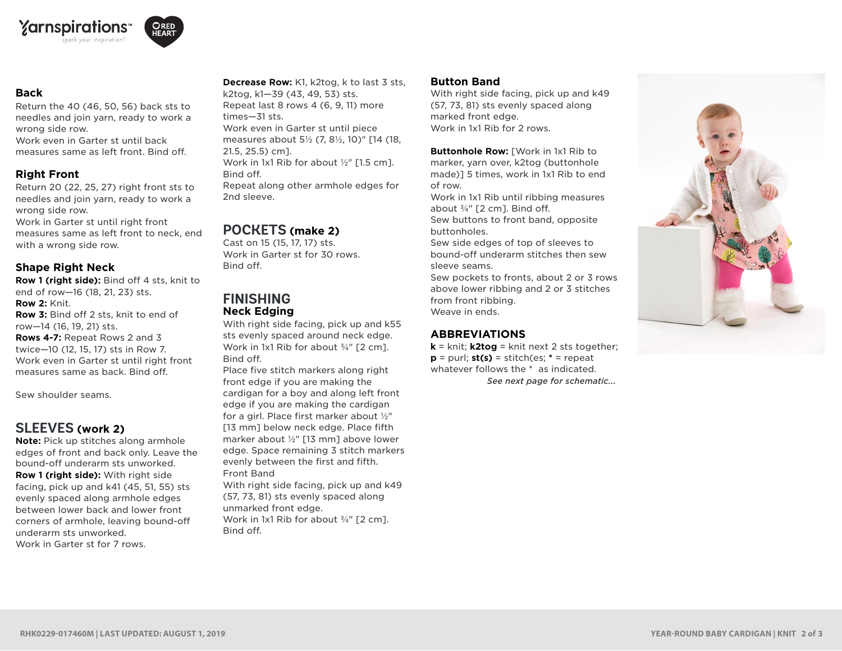



#### **Back**

Return the 40 (46, 50, 56) back sts to needles and join yarn, ready to work a wrong side row.

Work even in Garter st until back measures same as left front. Bind off.

#### **Right Front**

Return 20 (22, 25, 27) right front sts to needles and join yarn, ready to work a wrong side row.

Work in Garter st until right front measures same as left front to neck, end with a wrong side row.

#### **Shape Right Neck**

**Row 1 (right side):** Bind off 4 sts, knit to end of row—16 (18, 21, 23) sts. **Row 2:** Knit.

**Row 3:** Bind off 2 sts, knit to end of row—14 (16, 19, 21) sts.

**Rows 4-7:** Repeat Rows 2 and 3 twice—10 (12, 15, 17) sts in Row 7. Work even in Garter st until right front measures same as back. Bind off.

Sew shoulder seams.

#### **SLEEVES (work 2)**

**Note:** Pick up stitches along armhole edges of front and back only. Leave the bound-off underarm sts unworked. **Row 1 (right side):** With right side facing, pick up and k41 (45, 51, 55) sts evenly spaced along armhole edges between lower back and lower front corners of armhole, leaving bound-off underarm sts unworked. Work in Garter st for 7 rows.

**Decrease Row:** K1, k2tog, k to last 3 sts, k2tog, k1—39 (43, 49, 53) sts. Repeat last 8 rows 4 (6, 9, 11) more times—31 sts. Work even in Garter st until piece measures about 5½ (7, 8½, 10)" [14 (18, 21.5, 25.5) cm]. Work in 1x1 Rib for about ½" [1.5 cm]. Bind off. Repeat along other armhole edges for 2nd sleeve

#### **POCKETS (make 2)**

Cast on 15 (15, 17, 17) sts. Work in Garter st for 30 rows. Bind off.

#### **FINISHING Neck Edging**

With right side facing, pick up and k55 sts evenly spaced around neck edge. Work in 1x1 Rib for about 3/4" [2 cm]. Bind off.

Place five stitch markers along right front edge if you are making the cardigan for a boy and along left front edge if you are making the cardigan for a girl. Place first marker about ½" [13 mm] below neck edge. Place fifth marker about ½" [13 mm] above lower edge. Space remaining 3 stitch markers evenly between the first and fifth. Front Band

With right side facing, pick up and k49 (57, 73, 81) sts evenly spaced along unmarked front edge. Work in 1x1 Rib for about 3/4" [2 cm]. Bind off.

#### **Button Band**

With right side facing, pick up and k49 (57, 73, 81) sts evenly spaced along marked front edge. Work in 1x1 Rib for 2 rows.

**Buttonhole Row:** [Work in 1x1 Rib to marker, yarn over, k2tog (buttonhole made)] 5 times, work in 1x1 Rib to end of row.

Work in 1x1 Rib until ribbing measures about  $\frac{3}{4}$ " [2 cm]. Bind off.

Sew buttons to front band, opposite buttonholes.

Sew side edges of top of sleeves to bound-off underarm stitches then sew sleeve seams.

Sew pockets to fronts, about 2 or 3 rows above lower ribbing and 2 or 3 stitches from front ribbing. Weave in ends.

#### **ABBREVIATIONS**

*See next page for schematic...* **k** = knit; **k2tog** = knit next 2 sts together; **p** = purl;  $st(s)$  = stitch(es;  $*$  = repeat whatever follows the \* as indicated.